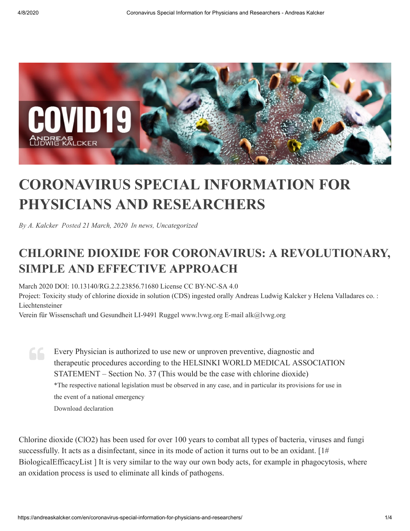

## **CORONAVIRUS SPECIAL INFORMATION FOR PHYSICIANS AND RESEARCHERS**

*By [A. Kalcker](https://andreaskalcker.com/en/author/fnidg9g4ghr9hgdkf/) Posted [21 March, 2020](https://andreaskalcker.com/en/2020/03/) In [news,](https://andreaskalcker.com/en/category/news-en/) [Uncategorized](https://andreaskalcker.com/en/category/uncategorized/)*

## **CHLORINE DIOXIDE FOR CORONAVIRUS: A REVOLUTIONARY, SIMPLE AND EFFECTIVE APPROACH**

March 2020 DOI: 10.13140/RG.2.2.23856.71680 License CC BY-NC-SA 4.0

Project: Toxicity study of chlorine dioxide in solution (CDS) ingested orally Andreas Ludwig Kalcker y Helena Valladares co. : Liechtensteiner

Verein für Wissenschaft und Gesundheit LI-9491 Ruggel [www.lvwg.org](http://www.lvwg.org/) E-mail [alk@lvwg.org](mailto:alk@lvwg.org)

Every Physician is authorized to use new or unproven preventive, diagnostic and therapeutic procedures according to the HELSINKI WORLD MEDICAL ASSOCIATION STATEMENT – Section No. 37 (This would be the case with chlorine dioxide) \*The respective national legislation must be observed in any case, and in particular its provisions for use in the event of a national emergency Download [declaration](https://www.who.int/bulletin/archives/79(4)373.pdf)

Chlorine dioxide (ClO2) has been used for over 100 years to combat all types of bacteria, viruses and fungi successfully. It acts as a disinfectant, since in its mode of action it turns out to be an oxidant.  $[1#]$ BiologicalEfficacyList ] It is very similar to the way our own body acts, for example in phagocytosis, where an oxidation process is used to eliminate all kinds of pathogens.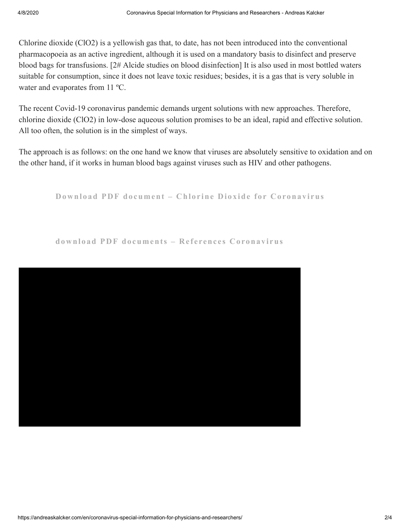Chlorine dioxide (ClO2) is a yellowish gas that, to date, has not been introduced into the conventional pharmacopoeia as an active ingredient, although it is used on a mandatory basis to disinfect and preserve blood bags for transfusions. [2# Alcide studies on blood disinfection] It is also used in most bottled waters suitable for consumption, since it does not leave toxic residues; besides, it is a gas that is very soluble in water and evaporates from 11 ºC.

The recent Covid-19 coronavirus pandemic demands urgent solutions with new approaches. Therefore, chlorine dioxide (ClO2) in low-dose aqueous solution promises to be an ideal, rapid and effective solution. All too often, the solution is in the simplest of ways.

The approach is as follows: on the one hand we know that viruses are absolutely sensitive to oxidation and on the other hand, if it works in human blood bags against viruses such as HIV and other pathogens.

**Downl o ad PDF do [cument](https://andreaskalcker.com/wp-content/uploads/2020/04/Chlorine-Dioxide-against-Coronavirus.pdf) – Chl or ine Di oxide f o r Co rona v i rus**

**downl o ad PDF do [cuments](https://drive.google.com/drive/folders/11uTuYeqP3M-w1dhqea5rcRsJVaxQckC3) – Re f e renc e s Corona v i rus**

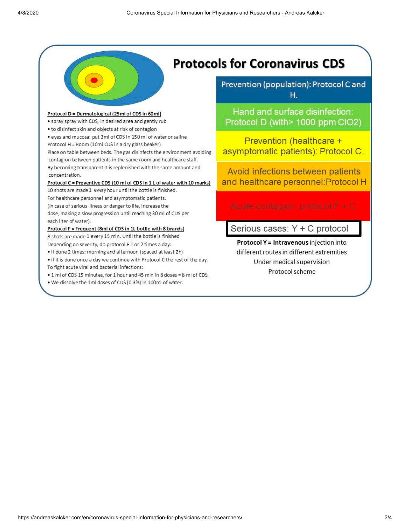